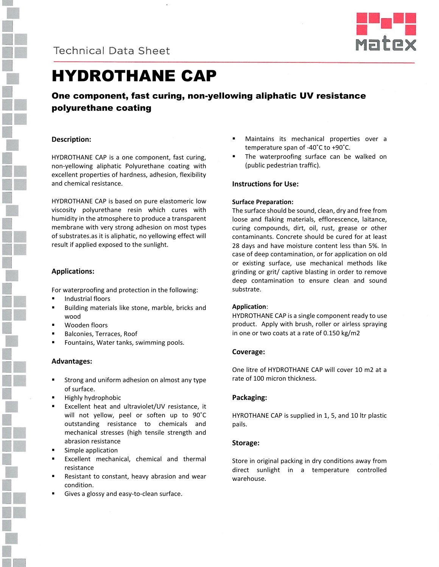



# HYDROTHANE CAP

### One component, fast curing, non-yellowing aliphatic UV resistance polyurethane coating

#### **Description:**

HYDROTHANE CAP is a one component, fast curing, non-yellowing aliphatic Polyurethane coating with excellent properties of hardness, adhesion, flexibility and chemical resistance.

HYDROTHANE CAP is based on pure elastomeric low viscosity polyurethane resin which cures with humidity in the atmosphere to produce a transparent membrane with very strong adhesion on most types of substrates.as it is aliphatic, no yellowing effect will result if applied exposed to the sunlight.

#### **Applications:**

For waterproofing and protection in the following:

- Industrial floors
- Building materials like stone, marble, bricks and wood
- Wooden floors
- Balconies, Terraces, Roof
- Fountains, Water tanks, swimming pools.

#### **Advantages:**

- Strong and uniform adhesion on almost any type of surface.
- Highly hydrophobic
- Excellent heat and ultraviolet/UV resistance, it will not yellow, peel or soften up to 90˚C outstanding resistance to chemicals and mechanical stresses (high tensile strength and abrasion resistance
- Simple application
- Excellent mechanical, chemical and thermal resistance
- Resistant to constant, heavy abrasion and wear condition.
- Gives a glossy and easy-to-clean surface.
- Maintains its mechanical properties over a temperature span of -40˚C to +90˚C.
- The waterproofing surface can be walked on (public pedestrian traffic).

#### **Instructions for Use:**

#### **Surface Preparation:**

The surface should be sound, clean, dry and free from loose and flaking materials, efflorescence, laitance, curing compounds, dirt, oil, rust, grease or other contaminants. Concrete should be cured for at least 28 days and have moisture content less than 5%. In case of deep contamination, or for application on old or existing surface, use mechanical methods like grinding or grit/ captive blasting in order to remove deep contamination to ensure clean and sound substrate.

#### **Application**:

HYDROTHANE CAP is a single component ready to use product. Apply with brush, roller or airless spraying in one or two coats at a rate of 0.150 kg/m2

#### **Coverage:**

One litre of HYDROTHANE CAP will cover 10 m2 at a rate of 100 micron thickness.

#### **Packaging:**

HYROTHANE CAP is supplied in 1, 5, and 10 ltr plastic pails.

#### **Storage:**

Store in original packing in dry conditions away from direct sunlight in a temperature controlled warehouse.